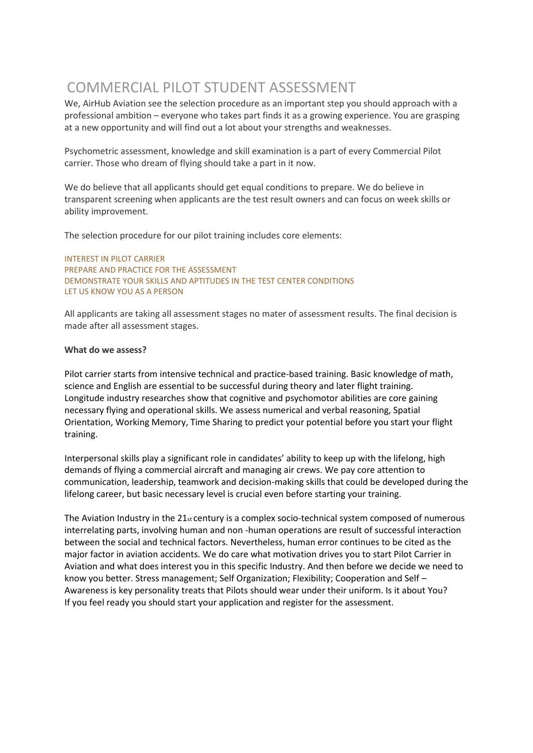## COMMERCIAL PILOT STUDENT ASSESSMENT

We, AirHub Aviation see the selection procedure as an important step you should approach with a professional ambition – everyone who takes part finds it as a growing experience. You are grasping at a new opportunity and will find out a lot about your strengths and weaknesses.

Psychometric assessment, knowledge and skill examination is a part of every Commercial Pilot carrier. Those who dream of flying should take a part in it now.

We do believe that all applicants should get equal conditions to prepare. We do believe in transparent screening when applicants are the test result owners and can focus on week skills or ability improvement.

The selection procedure for our pilot training includes core elements:

INTEREST IN PILOT CARRIER PREPARE AND PRACTICE FOR THE ASSESSMENT DEMONSTRATE YOUR SKILLS AND APTITUDES IN THE TEST CENTER CONDITIONS LET US KNOW YOU AS A PERSON

All applicants are taking all assessment stages no mater of assessment results. The final decision is made after all assessment stages.

## **What do we assess?**

Pilot carrier starts from intensive technical and practice-based training. Basic knowledge of math, science and English are essential to be successful during theory and later flight training. Longitude industry researches show that cognitive and psychomotor abilities are core gaining necessary flying and operational skills. We assess numerical and verbal reasoning, Spatial Orientation, Working Memory, Time Sharing to predict your potential before you start your flight training.

Interpersonal skills play a significant role in candidates' ability to keep up with the lifelong, high demands of flying a commercial aircraft and managing air crews. We pay core attention to communication, leadership, teamwork and decision-making skills that could be developed during the lifelong career, but basic necessary level is crucial even before starting your training.

The Aviation Industry in the  $21st$  century is a complex socio-technical system composed of numerous interrelating parts, involving human and non -human operations are result of successful interaction between the social and technical factors. Nevertheless, human error continues to be cited as the major factor in aviation accidents. We do care what motivation drives you to start Pilot Carrier in Aviation and what does interest you in this specific Industry. And then before we decide we need to know you better. Stress management; Self Organization; Flexibility; Cooperation and Self – Awareness is key personality treats that Pilots should wear under their uniform. Is it about You? If you feel ready you should start your application and register for the assessment.